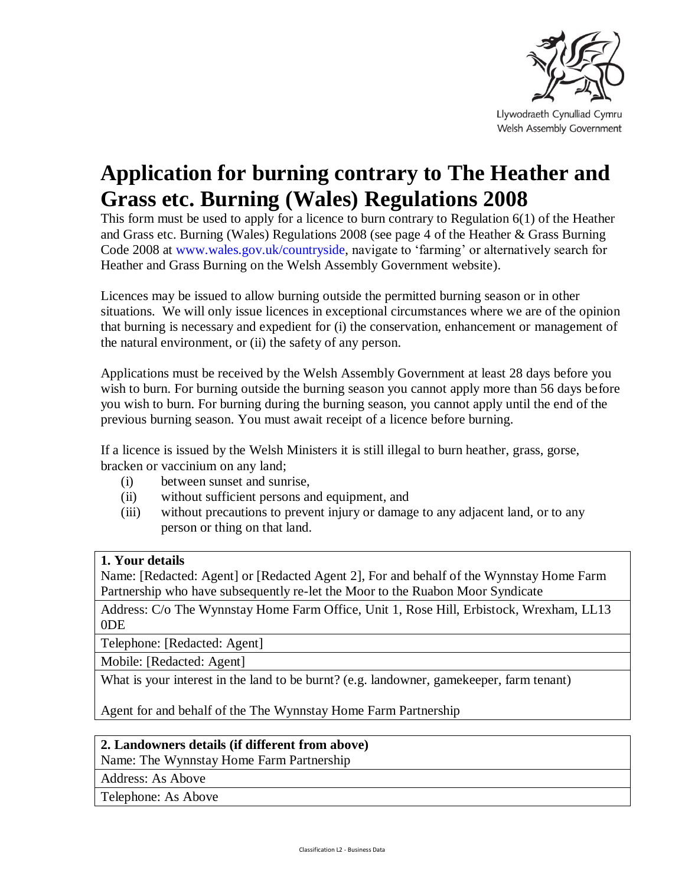

Llywodraeth Cynulliad Cymru Welsh Assembly Government

# **Application for burning contrary to The Heather and Grass etc. Burning (Wales) Regulations 2008**

This form must be used to apply for a licence to burn contrary to Regulation 6(1) of the Heather and Grass etc. Burning (Wales) Regulations 2008 (see page 4 of the Heather & Grass Burning Code 2008 at [www.wales.gov.uk/countryside,](http://www.wales.gov.uk/countryside) navigate to 'farming' or alternatively search for Heather and Grass Burning on the Welsh Assembly Government website).

Licences may be issued to allow burning outside the permitted burning season or in other situations. We will only issue licences in exceptional circumstances where we are of the opinion that burning is necessary and expedient for (i) the conservation, enhancement or management of the natural environment, or (ii) the safety of any person.

Applications must be received by the Welsh Assembly Government at least 28 days before you wish to burn. For burning outside the burning season you cannot apply more than 56 days before you wish to burn. For burning during the burning season, you cannot apply until the end of the previous burning season. You must await receipt of a licence before burning.

If a licence is issued by the Welsh Ministers it is still illegal to burn heather, grass, gorse, bracken or vaccinium on any land;

- (i) between sunset and sunrise,
- (ii) without sufficient persons and equipment, and
- (iii) without precautions to prevent injury or damage to any adjacent land, or to any person or thing on that land.

#### **1. Your details**

Name: [Redacted: Agent] or [Redacted Agent 2], For and behalf of the Wynnstay Home Farm Partnership who have subsequently re-let the Moor to the Ruabon Moor Syndicate

Address: C/o The Wynnstay Home Farm Office, Unit 1, Rose Hill, Erbistock, Wrexham, LL13 0DE

Telephone: [Redacted: Agent]

Mobile: [Redacted: Agent]

What is your interest in the land to be burnt? (e.g. landowner, gamekeeper, farm tenant)

Agent for and behalf of the The Wynnstay Home Farm Partnership

#### **2. Landowners details (if different from above)**

Name: The Wynnstay Home Farm Partnership

Address: As Above

Telephone: As Above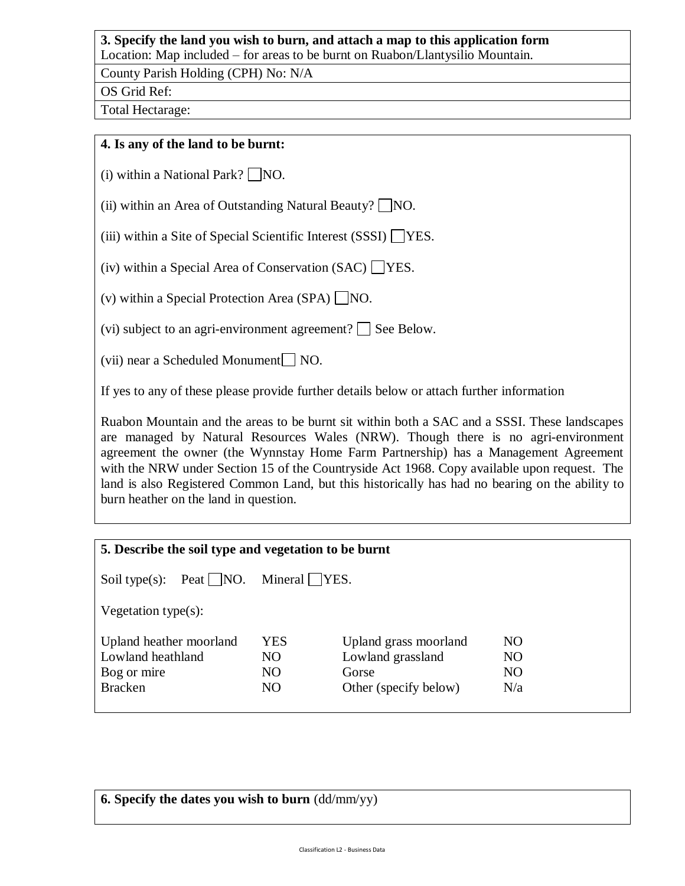## **3. Specify the land you wish to burn, and attach a map to this application form**

Location: Map included – for areas to be burnt on Ruabon/Llantysilio Mountain.

County Parish Holding (CPH) No: N/A

OS Grid Ref:

Total Hectarage:

### **4. Is any of the land to be burnt:**

(i) within a National Park?  $\Box$  NO.

(ii) within an Area of Outstanding Natural Beauty?  $\Box$  NO.

(iii) within a Site of Special Scientific Interest (SSSI)  $\Box$ YES.

(iv) within a Special Area of Conservation (SAC)  $\Box$  YES.

(v) within a Special Protection Area  $(SPA)$  NO.

(vi) subject to an agri-environment agreement?  $\Box$  See Below.

(vii) near a Scheduled Monument  $\Box$  NO.

If yes to any of these please provide further details below or attach further information

Ruabon Mountain and the areas to be burnt sit within both a SAC and a SSSI. These landscapes are managed by Natural Resources Wales (NRW). Though there is no agri-environment agreement the owner (the Wynnstay Home Farm Partnership) has a Management Agreement with the NRW under Section 15 of the Countryside Act 1968. Copy available upon request. The land is also Registered Common Land, but this historically has had no bearing on the ability to burn heather on the land in question.

| 5. Describe the soil type and vegetation to be burnt |                |                       |                |  |  |  |  |  |  |
|------------------------------------------------------|----------------|-----------------------|----------------|--|--|--|--|--|--|
| Soil type(s): Peat $\neg$ NO. Mineral $\neg$ YES.    |                |                       |                |  |  |  |  |  |  |
| Vegetation type $(s)$ :                              |                |                       |                |  |  |  |  |  |  |
| Upland heather moorland                              | <b>YES</b>     | Upland grass moorland | N <sub>O</sub> |  |  |  |  |  |  |
| Lowland heathland                                    | N <sub>O</sub> | Lowland grassland     | N <sub>O</sub> |  |  |  |  |  |  |
| Bog or mire                                          | N <sub>O</sub> | Gorse                 | NO.            |  |  |  |  |  |  |
| <b>Bracken</b>                                       | N <sub>O</sub> | Other (specify below) | N/a            |  |  |  |  |  |  |
|                                                      |                |                       |                |  |  |  |  |  |  |

|  |  |  |  |  |  |  | <b>6. Specify the dates you wish to burn</b> $\text{(dd/mm/yy)}$ |
|--|--|--|--|--|--|--|------------------------------------------------------------------|
|--|--|--|--|--|--|--|------------------------------------------------------------------|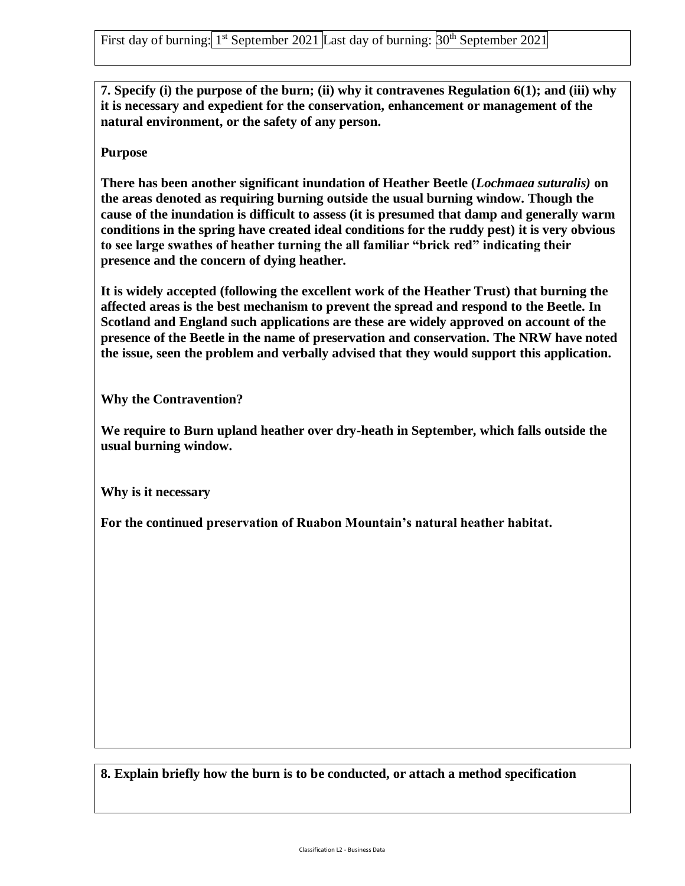**7. Specify (i) the purpose of the burn; (ii) why it contravenes Regulation 6(1); and (iii) why it is necessary and expedient for the conservation, enhancement or management of the natural environment, or the safety of any person.**

**Purpose** 

**There has been another significant inundation of Heather Beetle (***Lochmaea suturalis)* **on the areas denoted as requiring burning outside the usual burning window. Though the cause of the inundation is difficult to assess (it is presumed that damp and generally warm conditions in the spring have created ideal conditions for the ruddy pest) it is very obvious to see large swathes of heather turning the all familiar "brick red" indicating their presence and the concern of dying heather.** 

**It is widely accepted (following the excellent work of the Heather Trust) that burning the affected areas is the best mechanism to prevent the spread and respond to the Beetle. In Scotland and England such applications are these are widely approved on account of the presence of the Beetle in the name of preservation and conservation. The NRW have noted the issue, seen the problem and verbally advised that they would support this application.** 

**Why the Contravention?**

**We require to Burn upland heather over dry-heath in September, which falls outside the usual burning window.** 

**Why is it necessary** 

**For the continued preservation of Ruabon Mountain's natural heather habitat.**

**8. Explain briefly how the burn is to be conducted, or attach a method specification**